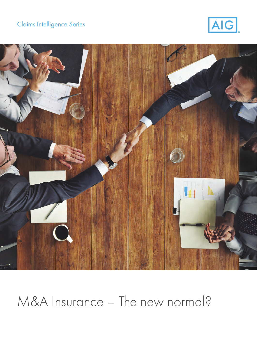## Claims Intelligence Series





## M&A Insurance – The new normal?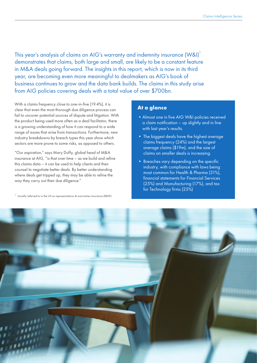This year's analysis of claims on AIG's warranty and indemnity insurance (W&I)<sup>1</sup> demonstrates that claims, both large and small, are likely to be a constant feature in M&A deals going forward. The insights in this report, which is now in its third year, are becoming even more meaningful to dealmakers as AIG's book of business continues to grow and the data bank builds. The claims in this study arise from AIG policies covering deals with a total value of over \$700bn.

With a claims frequency close to one-in-five (19.4%), it is clear that even the most thorough due diligence process can fail to uncover potential sources of dispute and litigation. With the product being used more often as a deal facilitator, there is a growing understanding of how it can respond to a wide range of issues that arise from transactions. Furthermore, new industry breakdowns by breach types this year show which sectors are more prone to some risks, as opposed to others.

"Our aspiration," says Mary Duffy, global head of M&A insurance at AIG, "is that over time – as we build and refine this claims data – it can be used to help clients and their counsel to negotiate better deals. By better understanding where deals get tripped up, they may be able to refine the way they carry out their due diligence."

<sup>1</sup> Usually referred to in the US as representations & warranties insurance (R&W)

#### **At a glance**

- Almost one in five AIG W&I policies received a claim notification – up slightly and in line with last year's results.
- The biggest deals have the highest average claims frequency (24%) and the largest average claims (\$19m), and the size of claims on smaller deals is increasing.
- Breaches vary depending on the specific industry, with compliance with laws being most common for Health & Pharma (31%), financial statements for Financial Services (25%) and Manufacturing (17%), and tax for Technology firms (25%)

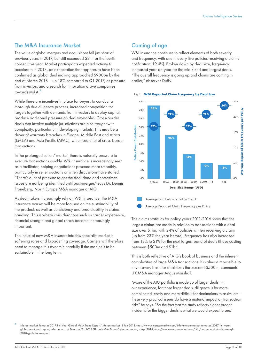#### The M&A Insurance Market

The value of global mergers and acquisitions fell just short of previous years in 2017, but still exceeded \$3tn for the fourth consecutive year. Market participants expected activity to accelerate in 2018, an expectation that appears to have been confirmed as global deal making approached \$900bn by the end of March 2018 – up 18% compared to Q1 2017, as pressure from investors and a search for innovation drove companies towards M&A.<sup>2</sup>

While there are incentives in place for buyers to conduct a thorough due diligence process, increased competition for targets together with demands from investors to deploy capital, produce additional pressure on deal timetables. Cross-border deals that involve multiple jurisdictions are also fraught with complexity, particularly in developing markets. This may be a driver of warranty breaches in Europe, Middle East and Africa (EMEA) and Asia Pacific (APAC), which see a lot of cross-border transactions.

In the prolonged sellers' market, there is naturally pressure to execute transactions quickly. W&I insurance is increasingly seen as a facilitator, helping negotiations proceed more smoothly, particularly in seller auctions or when discussions have stalled. "There's a lot of pressure to get the deal done and sometimes issues are not being identified until post-merger," says Dr. Dennis Froneberg, North Europe M&A manager at AIG.

As dealmakers increasingly rely on W&I insurance, the M&A insurance market will be more focused on the sustainability of the product, as well as consistency and predictability in claims handling. This is where considerations such as carrier experience, financial strength and global reach become increasingly important.

The influx of new M&A insurers into this specialist market is softening rates and broadening coverage. Carriers will therefore need to manage this dynamic carefully if the market is to be sustainable in the long term.

### Coming of age

W&I insurance continues to reflect elements of both severity and frequency, with one in every five policies receiving a claims notification (19.4%). Broken down by deal size, frequency increased year-on-year for the mid-sized and largest deals. "The overall frequency is going up and claims are coming in earlier," observes Duffy.







The claims statistics for policy years 2011-2016 show that the largest claims are made in relation to transactions with a deal size over \$1bn, with 24% of policies written receiving a claim (up from 23% the year before). Frequency has also increased from 18% to 21% for the next largest band of deals (those costing between \$500m and \$1bn).

This is both reflective of AIG's book of business and the inherent complexities of large M&A transactions. It is almost impossible to cover every base for deal sizes that exceed \$500m, comments UK M&A manager Angus Marshall.

"More of the AIG portfolio is made up of larger deals. In our experience, for those larger deals, diligence is far more complicated, costly and more difficult for dealmakers to assimilate – these very practical issues do have a material impact on transaction risks" he says. "So the fact that the study reflects higher breach incidents for the bigger deals is what we would expect to see."

<sup>2</sup> 'Mergermarket Releases 2017 Full Year Global M&A Trend Report.' Mergermarket, 3 Jan 2018 https://www.mergermarket.com/info/mergermarket-releases-2017-full-yearglobal-ma-trend-report; 'Mergermarket Releases Q1 2018 Global M&A Report.' Mergermarket, 4 Apr 2018 https://www.mergermarket.com/info/mergermarket-releases-q1- 2018-global-ma-report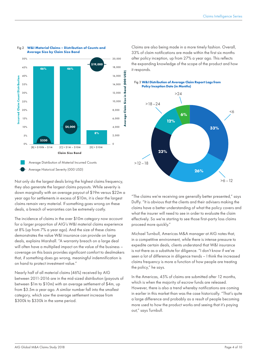

#### Fig 2 **W&I Material Claims – Distribution of Counts and Average Size by Claim Size Band**

Not only do the largest deals bring the highest claims frequency, they also generate the largest claims payouts. While severity is down marginally with an average payout of \$19m versus \$22m a year ago for settlements in excess of \$10m, it is clear the largest claims remain very material. If something goes wrong on these deals, a breach of warranties can be extremely costly.

The incidence of claims in the over \$10m category now account for a larger proportion of AIG's W&I material claims experience at 8% (up from 7% a year ago). And the size of these claims demonstrates the value W&I insurance can provide on large deals, explains Marshall. "A warranty breach on a large deal will often have a multiplied impact on the value of the business – coverage on this basis provides significant comfort to dealmakers that, if something does go wrong, meaningful indemnification is on hand to protect investment value."

Nearly half of all material claims (46%) received by AIG between 2011-2016 are in the mid-sized distribution (payouts of between \$1m to \$10m) with an average settlement of \$4m, up from \$3.5m a year ago. A similar number fall into the smallest category, which saw the average settlement increase from \$300k to \$330k in the same period.

Claims are also being made in a more timely fashion. Overall, 33% of claim notifications are made within the first six months after policy inception, up from 27% a year ago. This reflects the expanding knowledge of the scope of the product and how it responds.



"The claims we're receiving are generally better presented," says Duffy. "It is obvious that the clients and their advisers making the claims have a better understanding of what the policy covers and what the insurer will need to see in order to evaluate the claim effectively. So we're starting to see those first-party loss claims proceed more quickly."

Michael Turnbull, Americas M&A manager at AIG notes that, in a competitive environment, while there is intense pressure to expedite certain deals, clients understand that W&I insurance is not there as a substitute for diligence. "I don't know if we've seen a lot of difference in diligence trends – I think the increased claims frequency is more a function of how people are treating the policy," he says.

In the Americas, 45% of claims are submitted after 12 months, which is when the majority of escrow funds are released. However, there is also a trend whereby notifications are coming in earlier in this market than was the case historically. "That's quite a large difference and probably as a result of people becoming more used to how the product works and seeing that it's paying out," says Turnbull.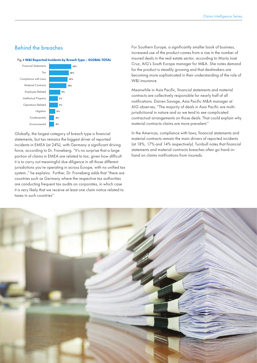## Behind the breaches



Globally, the largest category of breach type is financial statements, but tax remains the biggest driver of reported incidents in EMEA (at 24%), with Germany a significant driving force, according to Dr. Froneberg. "It's no surprise that a large portion of claims in EMEA are related to tax, given how difficult it is to carry out meaningful due diligence in all those different jurisdictions you're operating in across Europe, with no unified tax system ," he explains. Further, Dr. Froneberg adds that "there are countries such as Germany where the respective tax authorities are conducting frequent tax audits on corporates, in which case it is very likely that we receive at least one claim notice related to taxes in such countries".

For Southern Europe, a significantly smaller book of business, increased use of the product comes from a rise in the number of insured deals in the real estate sector, according to María José Cruz, AIG's South Europe manager for M&A. She notes demand for the product is steadily growing and that dealmakers are becoming more sophisticated in their understanding of the role of W&I insurance.

Meanwhile in Asia Pacific, financial statements and material contracts are collectively responsible for nearly half of all notifications. Darren Savage, Asia Pacific M&A manager at AIG observes, "The majority of deals in Asia Pacific are multijurisdictional in nature and so we tend to see complicated contractual arrangements on those deals. That could explain why material contracts claims are more prevalent."

In the Americas, compliance with laws, financial statements and material contracts remain the main drivers of reported incidents (at 18%, 17% and 14% respectively). Turnbull notes that financial statements and material contracts breaches often go hand-inhand on claims notifications from insureds.

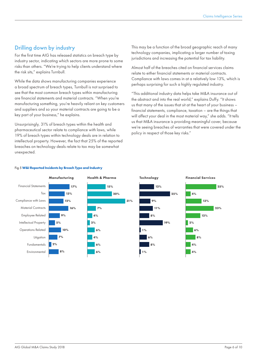## Drilling down by industry

For the first time AIG has released statistics on breach type by industry sector, indicating which sectors are more prone to some risks than others. "We're trying to help clients understand where the risk sits," explains Turnbull.

While the data shows manufacturing companies experience a broad spectrum of breach types, Turnbull is not surprised to see that the most common breach types within manufacturing are financial statements and material contracts. "When you're manufacturing something, you're heavily reliant on key customers and suppliers and so your material contracts are going to be a key part of your business," he explains.

Unsurprisingly, 31% of breach types within the health and pharmaceutical sector relate to compliance with laws, while 19% of breach types within technology deals are in relation to intellectual property. However, the fact that 25% of the reported breaches on technology deals relate to tax may be somewhat unexpected.

This may be a function of the broad geographic reach of many technology companies, implicating a larger number of taxing jurisdictions and increasing the potential for tax liability.

Almost half of the breaches cited on financial services claims relate to either financial statements or material contracts. Compliance with laws comes in at a relatively low 13%, which is perhaps surprising for such a highly regulated industry.

"This additional industry data helps take M&A insurance out of the abstract and into the real world," explains Duffy. "It shows us that many of the issues that sit at the heart of your business – financial statements, compliance, taxation – are the things that will affect your deal in the most material way," she adds. "It tells us that M&A insurance is providing meaningful cover, because we're seeing breaches of warranties that were covered under the policy in respect of those key risks."



#### Fig 5 **W&I Reported Incidents by Breach Type and Industry**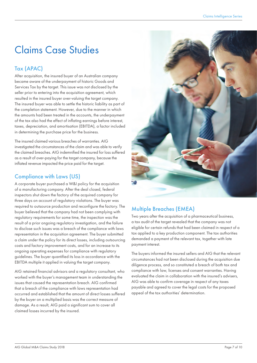## Claims Case Studies

## Tax (APAC)

After acquisition, the insured buyer of an Australian company became aware of the underpayment of historic Goods and Services Tax by the target. This issue was not disclosed by the seller prior to entering into the acquisition agreement, which resulted in the insured buyer over-valuing the target company. The insured buyer was able to settle the historic liability as part of the completion statement. However, due to the manner in which the amounts had been treated in the accounts, the underpayment of the tax also had the effect of inflating earnings before interest, taxes, depreciation, and amortisation (EBITDA), a factor included in determining the purchase price for the business.

The insured claimed various breaches of warranties. AIG investigated the circumstances of the claim and was able to verify the claimed breaches. AIG indemnified the insured for loss suffered as a result of over-paying for the target company, because the inflated revenue impacted the price paid for the target.

## Compliance with Laws (US)

A corporate buyer purchased a W&I policy for the acquisition of a manufacturing company. After the deal closed, federal inspectors shut down the factory of the acquired company for three days on account of regulatory violations. The buyer was required to outsource production and reconfigure the factory. The buyer believed that the company had not been complying with regulatory requirements for some time, the inspection was the result of a prior ongoing regulatory investigation, and the failure to disclose such issues was a breach of the compliance with laws representation in the acquisition agreement. The buyer submitted a claim under the policy for its direct losses, including outsourcing costs and factory improvement costs, and for an increase to its ongoing operating expenses for compliance with regulatory guidelines. The buyer quantified its loss in accordance with the EBITDA multiple it applied in valuing the target company.

AIG retained financial advisors and a regulatory consultant, who worked with the buyer's management team in understanding the issues that caused the representation breach. AIG confirmed that a breach of the compliance with laws representation had occurred and established that the amount of direct losses suffered by the buyer on a multiplied basis was the correct measure of damage. As a result, AIG paid a significant sum to cover all claimed losses incurred by the insured.



## Multiple Breaches (EMEA)

Two years after the acquisition of a pharmaceutical business, a tax audit of the target revealed that the company was not eligible for certain refunds that had been claimed in respect of a tax applied to a key production component. The tax authorities demanded a payment of the relevant tax, together with late payment interest.

The buyers informed the insured sellers and AIG that the relevant circumstances had not been disclosed during the acquisition due diligence process, and so constituted a breach of both tax and compliance with law, licenses and consent warranties. Having evaluated the claim in collaboration with the insured's advisers, AIG was able to confirm coverage in respect of any taxes payable and agreed to cover the legal costs for the proposed appeal of the tax authorities' determination.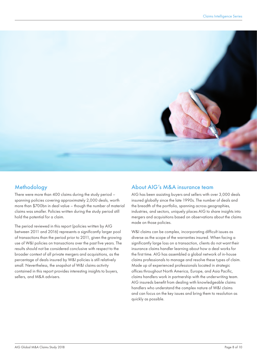

## Methodology

There were more than 400 claims during the study period – spanning policies covering approximately 2,000 deals, worth more than \$700bn in deal value – though the number of material claims was smaller. Policies written during the study period still hold the potential for a claim.

The period reviewed in this report (policies written by AIG between 2011 and 2016) represents a significantly larger pool of transactions than the period prior to 2011, given the growing use of W&I policies on transactions over the past five years. The results should not be considered conclusive with respect to the broader context of all private mergers and acquisitions, as the percentage of deals insured by W&I policies is still relatively small. Nevertheless, the snapshot of W&I claims activity contained in this report provides interesting insights to buyers, sellers, and M&A advisers.

### About AIG's M&A insurance team

AIG has been assisting buyers and sellers with over 3,000 deals insured globally since the late 1990s. The number of deals and the breadth of the portfolio, spanning across geographies, industries, and sectors, uniquely places AIG to share insights into mergers and acquisitions based on observations about the claims made on those policies.

W&I claims can be complex, incorporating difficult issues as diverse as the scope of the warranties insured. When facing a significantly large loss on a transaction, clients do not want their insurance claims handler learning about how a deal works for the first time. AIG has assembled a global network of in-house claims professionals to manage and resolve these types of claim. Made up of experienced professionals located in strategic offices throughout North America, Europe, and Asia Pacific, claims handlers work in partnership with the underwriting team. AIG insureds benefit from dealing with knowledgeable claims handlers who understand the complex nature of W&I claims and can focus on the key issues and bring them to resolution as quickly as possible.